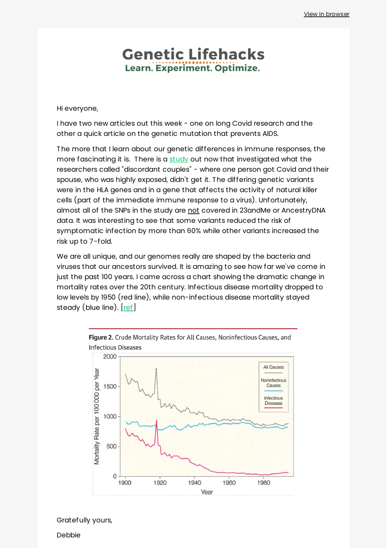### **Genetic Lifehacks** Learn. Experiment. Optimize.

Hi everyone,

I have two new articles out this week - one on long Covid research and the other a quick article on the genetic mutation that prevents AIDS.

The more that I learn about our genetic differences in immune responses, the more fascinating it is. There is a [study](https://www.frontiersin.org/articles/10.3389/fimmu.2021.742881/full#f2) out now that investigated what the researchers called "discordant couples" - where one person got Covid and their spouse, who was highly exposed, didn't get it. The differing genetic variants were in the HLA genes and in a gene that affects the activity of natural killer cells (part of the immediate immune response to a virus). Unfortunately, almost all of the SNPs in the study are not covered in 23andMe or AncestryDNA data. It was interesting to see that some variants reduced the risk of symptomatic infection by more than 60% while other variants increased the risk up to 7-fold.

We are all unique, and our genomes really are shaped by the bacteria and viruses that our ancestors survived. It is amazing to see how far we've come in just the past 100 years. I came across a chart showing the dramatic change in mortality rates over the 20th century. Infectious disease mortality dropped to low levels by 1950 (red line), while non-infectious disease mortality stayed steady (blue line). [[ref\]](https://jamanetwork.com/journals/jama/fullarticle/768249)



Figure 2. Crude Mortality Rates for All Causes, Noninfectious Causes, and **Infectious Diseases** 

Gratefully yours,

Debbie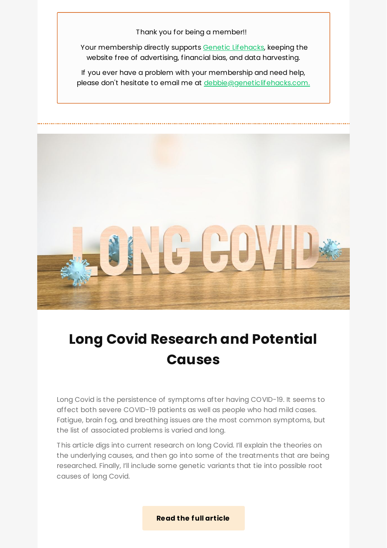Thank you for being a member!!

Your membership directly supports Genetic [Lifehacks,](https://www.geneticlifehacks.com/) keeping the website free of advertising, financial bias, and data harvesting.

If you ever have a problem with your membership and need help, please don't hesitate to email me at [debbie@geneticlifehacks.com.](mailto:debbie@geneticlifehacks.com.)



## **Long Covid [Research](https://www.geneticlifehacks.com/long-covid-research-and-potential-causes/) and Potential Causes**

Long Covid is the persistence of symptoms after having COVID-19. It seems to affect both severe COVID-19 patients as well as people who had mild cases. Fatigue, brain fog, and breathing issues are the most common symptoms, but the list of associated problems is varied and long.

This article digs into current research on long Covid. I'll explain the theories on the underlying causes, and then go into some of the treatments that are being researched. Finally, I'll include some genetic variants that tie into possible root causes of long Covid.

**Read the full [article](https://www.geneticlifehacks.com/long-covid-research-and-potential-causes/)**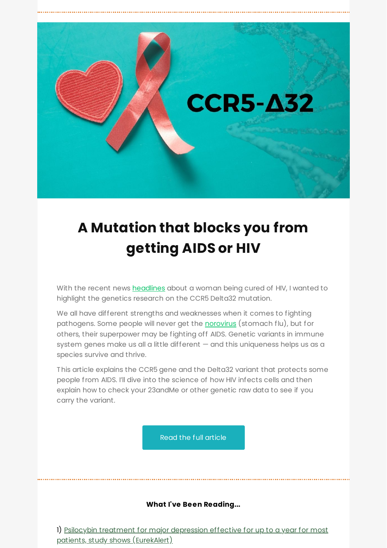

# **A [Mutation](https://www.geneticlifehacks.com/mutation-that-blocks-you-from-getting-aids-or-hiv/) that blocks you from getting AIDS or HIV**

With the recent news **[headlines](https://www.nytimes.com/2022/02/15/health/hiv-cure-cord-blood.html)** about a woman being cured of HIV, I wanted to highlight the genetics research on the CCR5 Delta32 mutation.

We all have different strengths and weaknesses when it comes to fighting pathogens. Some people will never get the **[norovirus](https://www.geneticlifehacks.com/gut-health-and-your-genes-fut2/)** (stomach flu), but for others, their superpower may be fighting off AIDS. Genetic variants in immune system genes make us all a little different — and this uniqueness helps us as a species survive and thrive.

This article explains the CCR5 gene and the Delta32 variant that protects some people from AIDS. I'll dive into the science of how HIV infects cells and then explain how to check your 23andMe or other genetic raw data to see if you carry the variant.

Read the full [article](https://www.geneticlifehacks.com/mutation-that-blocks-you-from-getting-aids-or-hiv/)

#### **What I've Been Reading...**

1) Psilocybin treatment for major depression effective for up to a year for most patients, study shows [\(EurekAlert\)](http://localhost:3000/decode_hex/68747470733a2f2f707265766965772e6d61696c65726c6974652e636f6d2f673772336a3766326c33)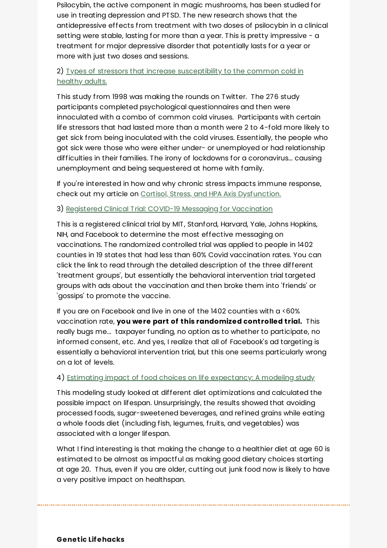Psilocybin, the active component in magic mushrooms, has been studied for use in treating depression and PTSD. The new research shows that the antidepressive effects from treatment with two doses of psilocybin in a clinical setting were stable, lasting for more than a year. This is pretty impressive - a treatment for major depressive disorder that potentially lasts for a year or more with just two doses and sessions.

#### 2) Types of stressors that increase [susceptibility](https://doi.apa.org/doiLanding?doi=10.1037%2F0278-6133.17.3.214) to the common cold in healthy adults.

This study from 1998 was making the rounds on Twitter. The 276 study participants completed psychological questionnaires and then were innoculated with a combo of common cold viruses. Participants with certain life stressors that had lasted more than a month were 2 to 4-fold more likely to get sick from being inoculated with the cold viruses. Essentially, the people who got sick were those who were either under- or unemployed or had relationship difficulties in their families. The irony of lockdowns for a coronavirus... causing unemployment and being sequestered at home with family.

If you're interested in how and why chronic stress impacts immune response, check out my article on Cortisol, Stress, and HPA Axis [Dysfunction.](https://www.geneticlifehacks.com/hpa-axis-dysfunction-genes-and-environment/)

#### 3) Registered Clinical Trial: COVID-19 Messaging for [Vaccination](https://clinicaltrials.gov/ct2/show/NCT05182554)

This is a registered clinical trial by MIT, Stanford, Harvard, Yale, Johns Hopkins, NIH, and Facebook to determine the most effective messaging on vaccinations. The randomized controlled trial was applied to people in 1402 counties in 19 states that had less than 60% Covid vaccination rates. You can click the link to read through the detailed description of the three different 'treatment groups', but essentially the behavioral intervention trial targeted groups with ads about the vaccination and then broke them into 'friends' or 'gossips' to promote the vaccine.

If you are on Facebook and live in one of the 1402 counties with a <60% vaccination rate, **you were part of this randomized controlled trial.** This really bugs me... taxpayer funding, no option as to whether to participate, no informed consent, etc. And yes, I realize that all of Facebook's ad targeting is essentially a behavioral intervention trial, but this one seems particularly wrong on a lot of levels.

#### 4) Estimating impact of food choices on life [expectancy:](https://journals.plos.org/plosmedicine/article?id=10.1371/journal.pmed.1003889) A modeling study

This modeling study looked at different diet optimizations and calculated the possible impact on lifespan. Unsurprisingly, the results showed that avoiding processed foods, sugar-sweetened beverages, and refined grains while eating a whole foods diet (including fish, legumes, fruits, and vegetables) was associated with a longer lifespan.

What I find interesting is that making the change to a healthier diet at age 60 is estimated to be almost as impactful as making good dietary choices starting at age 20. Thus, even if you are older, cutting out junk food now is likely to have a very positive impact on healthspan.